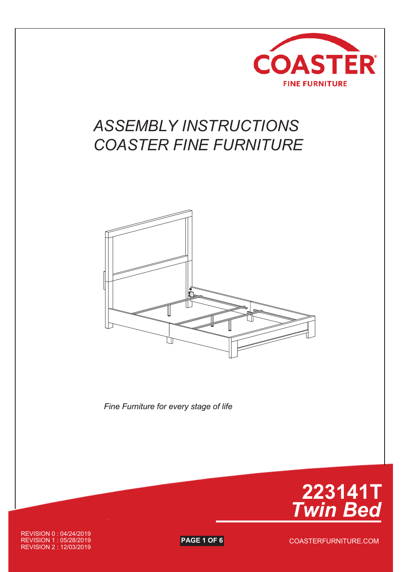

## *ASSEMBLY INSTRUCTIONS COASTER FINE FURNITURE*



*Fine Furniture for every stage of life*



REVISION 0 : 04/24/2019 REVISION 1 : 05/28/2019 **PAGE 1 OF 6** REVISION 2 : 12/03/2019

COASTERFURNITURE.COM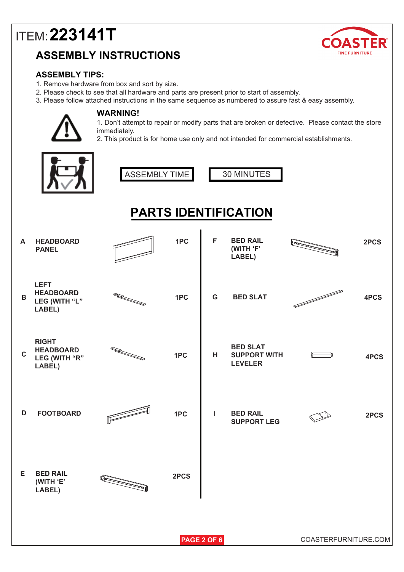## **ASSEMBLY INSTRUCTIONS**



#### **ASSEMBLY TIPS:**

- 1. Remove hardware from box and sort by size.
- 2. Please check to see that all hardware and parts are present prior to start of assembly.
- 3. Please follow attached instructions in the same sequence as numbered to assure fast & easy assembly.



#### **WARNING!**

1. Don't attempt to repair or modify parts that are broken or defective. Please contact the store immediately.

2. This product is for home use only and not intended for commercial establishments.

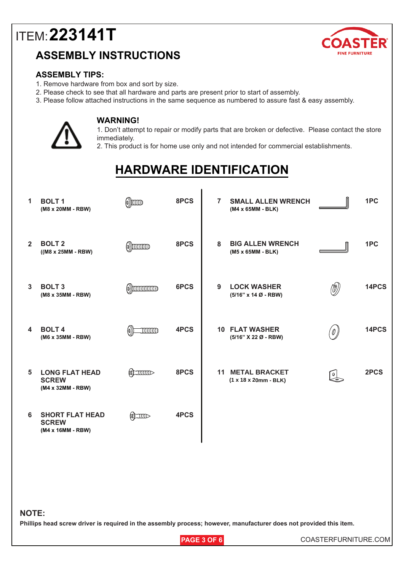### **ASSEMBLY INSTRUCTIONS**



#### **ASSEMBLY TIPS:**

- 1. Remove hardware from box and sort by size.
- 2. Please check to see that all hardware and parts are present prior to start of assembly.
- 3. Please follow attached instructions in the same sequence as numbered to assure fast & easy assembly.



#### **WARNING!**

1. Don't attempt to repair or modify parts that are broken or defective. Please contact the store immediately.

2. This product is for home use only and not intended for commercial establishments.

## **HARDWARE IDENTIFICATION**

| 1              | <b>BOLT1</b><br>(M8 x 20MM - RBW)                           | (1)))))))))))))))          | 8PCS | $\overline{7}$ | <b>SMALL ALLEN WRENCH</b><br>(M4 x 65MM - BLK)  |                                                   | 1PC   |
|----------------|-------------------------------------------------------------|----------------------------|------|----------------|-------------------------------------------------|---------------------------------------------------|-------|
| $\overline{2}$ | <b>BOLT 2</b><br>$((M8 x 25MM - RBW)$                       | $\omega$ ) $\omega$        | 8PCS | 8              | <b>BIG ALLEN WRENCH</b><br>(M5 x 65MM - BLK)    |                                                   | 1PC   |
| 3              | <b>BOLT 3</b><br>(M8 x 35MM - RBW)                          | $\omega$ )) $\omega$       | 6PCS | 9              | <b>LOCK WASHER</b><br>(5/16" x 14 Ø - RBW)      | $(\!\!\!\! \bigcirc \!\!\!\! \bigcirc \!\!\!\! )$ | 14PCS |
| 4              | <b>BOLT4</b><br>(M6 x 35MM - RBW)                           | $\equiv$ $\equiv$ $\equiv$ | 4PCS |                | <b>10 FLAT WASHER</b><br>(5/16" X 22 Ø - RBW)   | '0 )                                              | 14PCS |
| 5              | <b>LONG FLAT HEAD</b><br><b>SCREW</b><br>(M4 x 32MM - RBW)  | $\sum$                     | 8PCS | 11             | <b>METAL BRACKET</b><br>$(1 x 18 x 20mm - BLK)$ | $\mathbb{Q}$                                      | 2PCS  |
| 6              | <b>SHORT FLAT HEAD</b><br><b>SCREW</b><br>(M4 x 16MM - RBW) |                            | 4PCS |                |                                                 |                                                   |       |

#### **NOTE:**

**Phillips head screw driver is required in the assembly process; however, manufacturer does not provided this item.**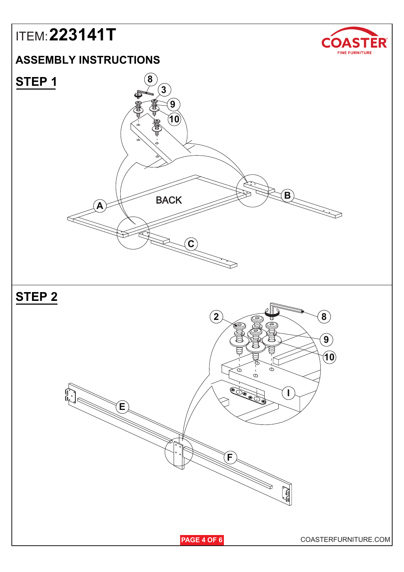### **ASSEMBLY INSTRUCTIONS**





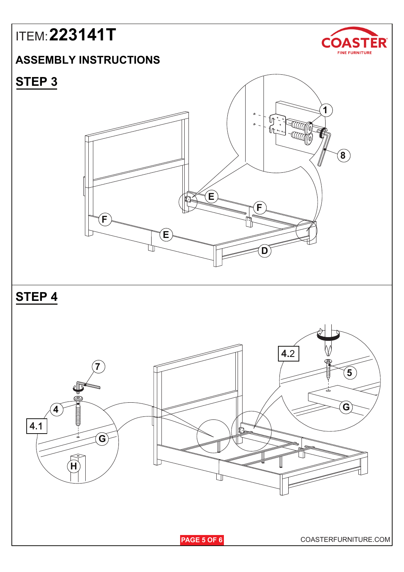### **ASSEMBLY INSTRUCTIONS**



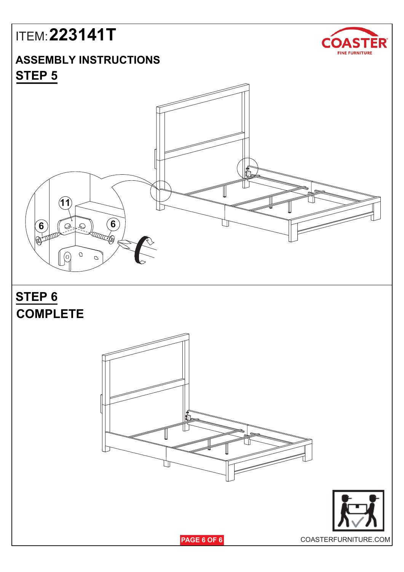